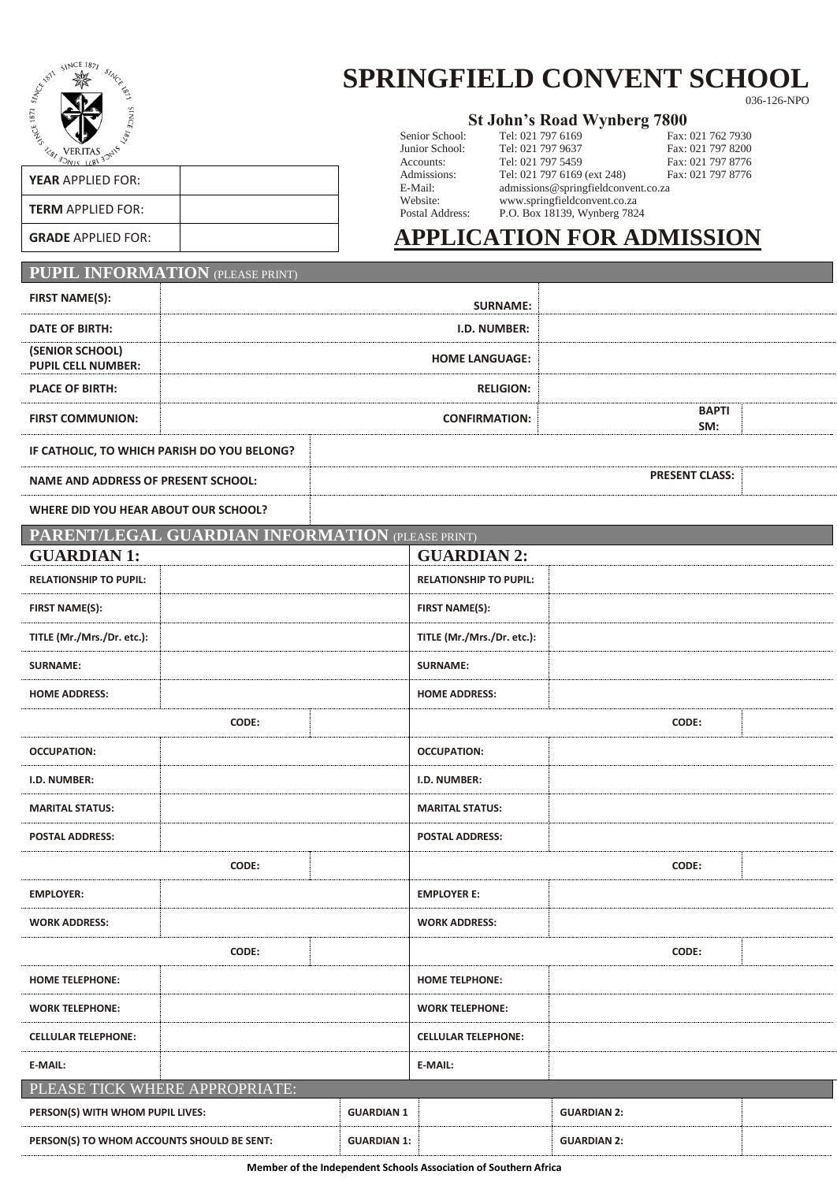

## **SPRINGFIELD CONVENT SCHOOL**

036-126-NPO

| <b>St John's Road Wynberg 7800</b> |  |  |  |  |  |  |  |  |
|------------------------------------|--|--|--|--|--|--|--|--|
|------------------------------------|--|--|--|--|--|--|--|--|

| る                                              | DUITOI DUITOOI. | $1 \cup 1$ , $0 \cup 1$ , $1 \cup 1$ , $0 \cup 1$ |
|------------------------------------------------|-----------------|---------------------------------------------------|
| VERITAS $\mathcal{A}^5$<br>$\epsilon_{\theta}$ | Junior School:  | Tel: 021 797 96                                   |
|                                                | Accounts:       | Tel: 021 797 54                                   |
|                                                | Admissions:     | Tel: 021 797 61                                   |
| <b>YEAR APPLIED FOR:</b>                       | E-Mail:         | admissions@sp                                     |
|                                                | Website:        | www.springfiel                                    |
| <b>TERM APPLIED FOR:</b>                       | Postal Address: | P.O. Box 18139                                    |
| CRADE ADDUED FOD.                              |                 | A DDI I $\alpha$ a than                           |

|                 |                   | St John's Road Wynberg 7800         |                   |
|-----------------|-------------------|-------------------------------------|-------------------|
| Senior School:  | Tel: 021 797 6169 |                                     | Fax: 021 762 7930 |
| Junior School:  | Tel: 021 797 9637 |                                     | Fax: 021 797 8200 |
| Accounts:       | Tel: 021 797 5459 |                                     | Fax: 021 797 8776 |
| Admissions:     |                   | Tel: 021 797 6169 (ext 248)         | Fax: 021 797 8776 |
| E-Mail:         |                   | admissions@springfieldconvent.co.za |                   |
| Website:        |                   | www.springfieldconvent.co.za        |                   |
| Postal Address: |                   | P.O. Box 18139, Wynberg 7824        |                   |

## GRADE APPLIED FOR: **APPLICATION FOR ADMISSION**

## **PUPIL INFORMATION** (PLEASE PRINT)

| <b>FIRST NAME(S):</b>                               |                                                  |                            | <b>SURNAME:</b>               |                       |  |  |
|-----------------------------------------------------|--------------------------------------------------|----------------------------|-------------------------------|-----------------------|--|--|
| <b>DATE OF BIRTH:</b>                               |                                                  |                            | I.D. NUMBER:                  |                       |  |  |
| (SENIOR SCHOOL)                                     |                                                  |                            | <b>HOME LANGUAGE:</b>         |                       |  |  |
| <b>PUPIL CELL NUMBER:</b><br><b>PLACE OF BIRTH:</b> |                                                  |                            | <b>RELIGION:</b>              |                       |  |  |
|                                                     |                                                  |                            |                               | <b>BAPTI</b>          |  |  |
| <b>FIRST COMMUNION:</b>                             |                                                  |                            | <b>CONFIRMATION:</b>          | SM:                   |  |  |
|                                                     | IF CATHOLIC, TO WHICH PARISH DO YOU BELONG?      |                            |                               |                       |  |  |
| <b>NAME AND ADDRESS OF PRESENT SCHOOL:</b>          |                                                  |                            |                               | <b>PRESENT CLASS:</b> |  |  |
| WHERE DID YOU HEAR ABOUT OUR SCHOOL?                |                                                  |                            |                               |                       |  |  |
|                                                     | PARENT/LEGAL GUARDIAN INFORMATION (PLEASE PRINT) |                            |                               |                       |  |  |
| <b>GUARDIAN 1:</b>                                  |                                                  |                            | <b>GUARDIAN 2:</b>            |                       |  |  |
| <b>RELATIONSHIP TO PUPIL:</b>                       |                                                  |                            | <b>RELATIONSHIP TO PUPIL:</b> |                       |  |  |
| <b>FIRST NAME(S):</b>                               |                                                  |                            | <b>FIRST NAME(S):</b>         |                       |  |  |
| TITLE (Mr./Mrs./Dr. etc.):                          |                                                  |                            | TITLE (Mr./Mrs./Dr. etc.):    |                       |  |  |
| <b>SURNAME:</b>                                     |                                                  |                            | <b>SURNAME:</b>               |                       |  |  |
| <b>HOME ADDRESS:</b>                                |                                                  |                            | <b>HOME ADDRESS:</b>          |                       |  |  |
|                                                     | CODE:                                            |                            | CODE:                         |                       |  |  |
| <b>OCCUPATION:</b>                                  |                                                  |                            | <b>OCCUPATION:</b>            |                       |  |  |
| I.D. NUMBER:                                        |                                                  |                            | I.D. NUMBER:                  |                       |  |  |
| <b>MARITAL STATUS:</b>                              |                                                  |                            | <b>MARITAL STATUS:</b>        |                       |  |  |
| <b>POSTAL ADDRESS:</b>                              |                                                  |                            | <b>POSTAL ADDRESS:</b>        |                       |  |  |
|                                                     | CODE:                                            |                            |                               | CODE:                 |  |  |
| <b>EMPLOYER:</b>                                    |                                                  |                            | <b>EMPLOYER E:</b>            |                       |  |  |
| <b>WORK ADDRESS:</b>                                |                                                  |                            | <b>WORK ADDRESS:</b>          |                       |  |  |
|                                                     | CODE:                                            |                            |                               | CODE:                 |  |  |
| <b>HOME TELEPHONE:</b>                              |                                                  |                            | <b>HOME TELPHONE:</b>         |                       |  |  |
| <b>WORK TELEPHONE:</b>                              |                                                  |                            | <b>WORK TELEPHONE:</b>        |                       |  |  |
| <b>CELLULAR TELEPHONE:</b>                          |                                                  | <b>CELLULAR TELEPHONE:</b> |                               |                       |  |  |
| E-MAIL:                                             |                                                  |                            | E-MAIL:                       |                       |  |  |
| PLEASE TICK WHERE APPROPRIATE:                      |                                                  |                            |                               |                       |  |  |
| PERSON(S) WITH WHOM PUPIL LIVES:                    |                                                  | <b>GUARDIAN 1</b>          |                               | <b>GUARDIAN 2:</b>    |  |  |
| PERSON(S) TO WHOM ACCOUNTS SHOULD BE SENT:          |                                                  | <b>GUARDIAN 1:</b>         |                               | <b>GUARDIAN 2:</b>    |  |  |